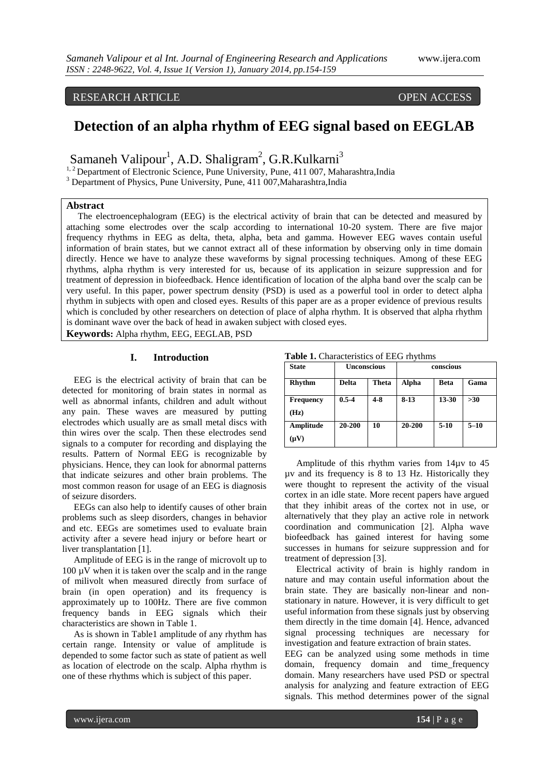## RESEARCH ARTICLE OPEN ACCESS

# **Detection of an alpha rhythm of EEG signal based on EEGLAB**

Samaneh Valipour<sup>1</sup>, A.D. Shaligram<sup>2</sup>, G.R.Kulkarni<sup>3</sup>

<sup>1, 2</sup> Department of Electronic Science, Pune University, Pune, 411 007, Maharashtra,India

<sup>3</sup> Department of Physics, Pune University, Pune, 411 007, Maharashtra, India

#### **Abstract**

 The electroencephalogram (EEG) is the electrical activity of brain that can be detected and measured by attaching some electrodes over the scalp according to international 10-20 system. There are five major frequency rhythms in EEG as delta, theta, alpha, beta and gamma. However EEG waves contain useful information of brain states, but we cannot extract all of these information by observing only in time domain directly. Hence we have to analyze these waveforms by signal processing techniques. Among of these EEG rhythms, alpha rhythm is very interested for us, because of its application in seizure suppression and for treatment of depression in biofeedback. Hence identification of location of the alpha band over the scalp can be very useful. In this paper, power spectrum density (PSD) is used as a powerful tool in order to detect alpha rhythm in subjects with open and closed eyes. Results of this paper are as a proper evidence of previous results which is concluded by other researchers on detection of place of alpha rhythm. It is observed that alpha rhythm is dominant wave over the back of head in awaken subject with closed eyes.

**Keywords:** Alpha rhythm, EEG, EEGLAB, PSD

### **I. Introduction**

 EEG is the electrical activity of brain that can be detected for monitoring of brain states in normal as well as abnormal infants, children and adult without any pain. These waves are measured by putting electrodes which usually are as small metal discs with thin wires over the scalp. Then these electrodes send signals to a computer for recording and displaying the results. Pattern of Normal EEG is recognizable by physicians. Hence, they can look for abnormal patterns that indicate seizures and other brain problems. The most common reason for usage of an EEG is diagnosis of seizure disorders.

 EEGs can also help to identify causes of other brain problems such as sleep disorders, changes in behavior and etc. EEGs are sometimes used to evaluate brain activity after a severe head injury or before heart or liver transplantation [1].

 Amplitude of EEG is in the range of microvolt up to  $100 \mu V$  when it is taken over the scalp and in the range of milivolt when measured directly from surface of brain (in open operation) and its frequency is approximately up to 100Hz. There are five common frequency bands in EEG signals which their characteristics are shown in Table 1.

 As is shown in Table1 amplitude of any rhythm has certain range. Intensity or value of amplitude is depended to some factor such as state of patient as well as location of electrode on the scalp. Alpha rhythm is one of these rhythms which is subject of this paper.

| Table 1. Characteristics of EEG rhythms |  |  |  |  |  |  |
|-----------------------------------------|--|--|--|--|--|--|
|-----------------------------------------|--|--|--|--|--|--|

| <b>State</b>     | <b>Unconscious</b> |              | conscious |             |          |
|------------------|--------------------|--------------|-----------|-------------|----------|
| <b>Rhythm</b>    | <b>Delta</b>       | <b>Theta</b> | Alpha     | <b>Beta</b> | Gama     |
| <b>Frequency</b> | $0.5 - 4$          | $4-8$        | $8-13$    | 13-30       | $>30$    |
| (Hz)             |                    |              |           |             |          |
| Amplitude        | 20-200             | 10           | 20-200    | $5 - 10$    | $5 - 10$ |
| $(\mu V)$        |                    |              |           |             |          |

 Amplitude of this rhythm varies from 14µv to 45 µv and its frequency is 8 to 13 Hz. Historically they were thought to represent the activity of the visual cortex in an idle state. More recent papers have argued that they inhibit areas of the cortex not in use, or alternatively that they play an active role in network coordination and communication [2]. Alpha wave biofeedback has gained interest for having some successes in humans for seizure suppression and for treatment of depression [3].

 Electrical activity of brain is highly random in nature and may contain useful information about the brain state. They are basically non-linear and nonstationary in nature. However, it is very difficult to get useful information from these signals just by observing them directly in the time domain [4]. Hence, advanced signal processing techniques are necessary for investigation and feature extraction of brain states.

EEG can be analyzed using some methods in time domain, frequency domain and time\_frequency domain. Many researchers have used PSD or spectral analysis for analyzing and feature extraction of EEG signals. This method determines power of the signal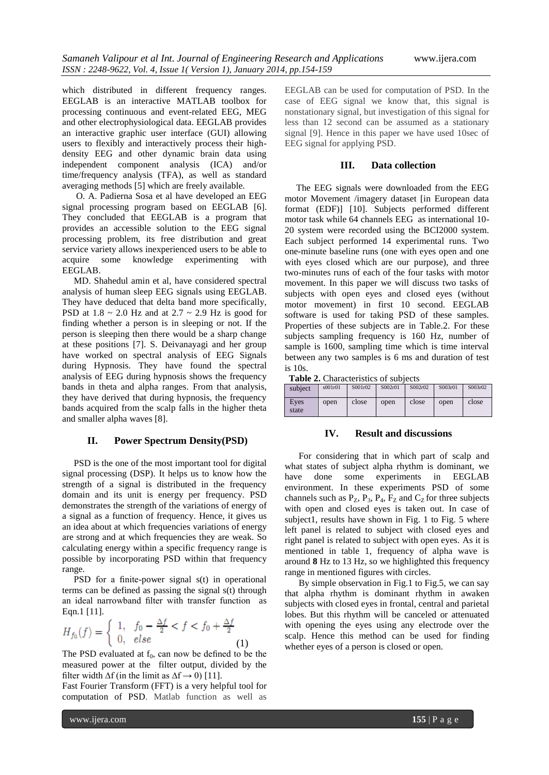which distributed in different frequency ranges. EEGLAB is an interactive MATLAB toolbox for processing continuous and event-related EEG, MEG and other electrophysiological data. EEGLAB provides an interactive graphic user interface (GUI) allowing users to flexibly and interactively process their highdensity EEG and other dynamic brain data using independent component analysis (ICA) and/or time/frequency analysis (TFA), as well as standard averaging methods [5] which are freely available.

 O. A. Padierna Sosa et al have developed an EEG signal processing program based on EEGLAB [6]. They concluded that EEGLAB is a program that provides an accessible solution to the EEG signal processing problem, its free distribution and great service variety allows inexperienced users to be able to acquire some knowledge experimenting with EEGLAB.

 MD. Shahedul amin et al, have considered spectral analysis of human sleep EEG signals using EEGLAB. They have deduced that delta band more specifically, PSD at  $1.8 \sim 2.0$  Hz and at  $2.7 \sim 2.9$  Hz is good for finding whether a person is in sleeping or not. If the person is sleeping then there would be a sharp change at these positions [7]. S. Deivanayagi and her group have worked on spectral analysis of EEG Signals during Hypnosis. They have found the spectral analysis of EEG during hypnosis shows the frequency bands in theta and alpha ranges. From that analysis, they have derived that during hypnosis, the frequency bands acquired from the scalp falls in the higher theta and smaller alpha waves [8].

#### **II. Power Spectrum Density(PSD)**

 PSD is the one of the most important tool for digital signal processing (DSP). It helps us to know how the strength of a signal is distributed in the frequency domain and its unit is energy per frequency. PSD demonstrates the strength of the variations of energy of a signal as a function of frequency. Hence, it gives us an idea about at which frequencies variations of energy are strong and at which frequencies they are weak. So calculating energy within a specific frequency range is possible by incorporating PSD within that frequency range.

PSD for a finite-power signal s(t) in operational terms can be defined as passing the signal s(t) through an ideal narrowband filter with transfer function as Eqn.1 [11].

$$
H_{f_0}(f) = \begin{cases} 1, & f_0 - \frac{\Delta f}{2} < f < f_0 + \frac{\Delta f}{2} \\ 0, & else \end{cases} \tag{1}
$$

The PSD evaluated at  $f_0$ , can now be defined to be the measured power at the filter output, divided by the filter width  $\Delta f$  (in the limit as  $\Delta f \rightarrow 0$ ) [11].

Fast Fourier Transform (FFT) is a very helpful tool for computation of PSD. Matlab function as well as EEGLAB can be used for computation of PSD. In the case of EEG signal we know that, this signal is nonstationary signal, but investigation of this signal for less than 12 second can be assumed as a stationary signal [9]. Hence in this paper we have used 10sec of EEG signal for applying PSD.

#### **III. Data collection**

 The EEG signals were downloaded from the EEG motor Movement /imagery dataset [in European data format (EDF)] [10]. Subjects performed different motor task while 64 channels EEG as international 10- 20 system were recorded using the BCI2000 system. Each subject performed 14 experimental runs. Two one-minute baseline runs (one with eyes open and one with eyes closed which are our purpose), and three two-minutes runs of each of the four tasks with motor movement. In this paper we will discuss two tasks of subjects with open eyes and closed eyes (without motor movement) in first 10 second. EEGLAB software is used for taking PSD of these samples. Properties of these subjects are in Table.2. For these subjects sampling frequency is 160 Hz, number of sample is 1600, sampling time which is time interval between any two samples is 6 ms and duration of test is 10s.

**Table 2.** Characteristics of subjects

| subject       | s001r01 | S001r02 | S002r01 | S002r02 | S003r01 | S003r02 |
|---------------|---------|---------|---------|---------|---------|---------|
| Eves<br>state | open    | close   | open    | close   | open    | close   |

#### **IV. Result and discussions**

 For considering that in which part of scalp and what states of subject alpha rhythm is dominant, we have done some experiments in EEGLAB environment. In these experiments PSD of some channels such as  $P_Z$ ,  $P_3$ ,  $P_4$ ,  $F_Z$  and  $C_Z$  for three subjects with open and closed eyes is taken out. In case of subject1, results have shown in Fig. 1 to Fig. 5 where left panel is related to subject with closed eyes and right panel is related to subject with open eyes. As it is mentioned in table 1, frequency of alpha wave is around **8** Hz to 13 Hz, so we highlighted this frequency range in mentioned figures with circles.

 By simple observation in Fig.1 to Fig.5, we can say that alpha rhythm is dominant rhythm in awaken subjects with closed eyes in frontal, central and parietal lobes. But this rhythm will be canceled or attenuated with opening the eyes using any electrode over the scalp. Hence this method can be used for finding whether eyes of a person is closed or open.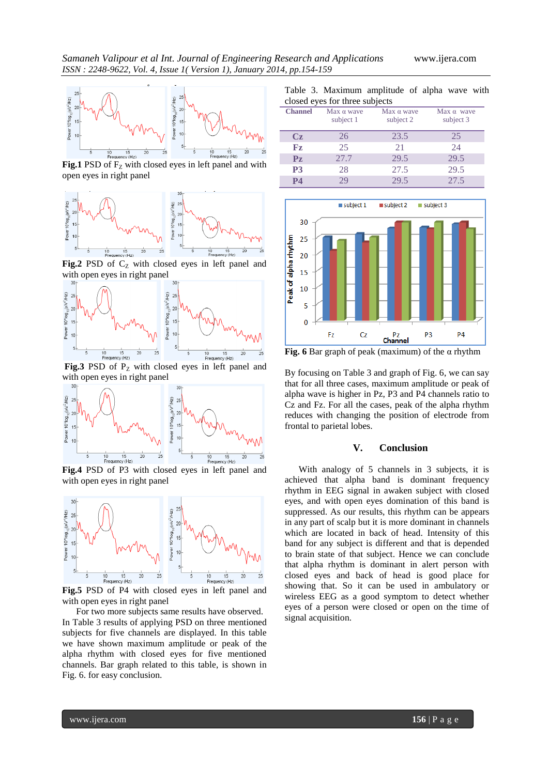

**Fig.1** PSD of  $F<sub>Z</sub>$  with closed eyes in left panel and with open eyes in right panel



Fig.2 PSD of  $C_Z$  with closed eyes in left panel and with open eyes in right panel



**Fig.3** PSD of  $P<sub>Z</sub>$  with closed eyes in left panel and with open eyes in right panel



**Fig.4** PSD of P3 with closed eyes in left panel and with open eyes in right panel



**Fig.5** PSD of P4 with closed eyes in left panel and with open eyes in right panel

 For two more subjects same results have observed. In Table 3 results of applying PSD on three mentioned subjects for five channels are displayed. In this table we have shown maximum amplitude or peak of the alpha rhythm with closed eyes for five mentioned channels. Bar graph related to this table, is shown in Fig. 6. for easy conclusion.

Table 3. Maximum amplitude of alpha wave with closed eyes for three subjects

| $\frac{1}{2}$    |                                |                                |                                |  |  |  |
|------------------|--------------------------------|--------------------------------|--------------------------------|--|--|--|
| <b>Channel</b>   | Max $\alpha$ wave<br>subject 1 | Max $\alpha$ wave<br>subject 2 | Max $\alpha$ wave<br>subject 3 |  |  |  |
| $C_{\mathbf{Z}}$ | 26                             | 23.5                           | 25                             |  |  |  |
| ${\bf F}z$       | 25                             | 21                             | 24                             |  |  |  |
| $P_{Z}$          | 27.7                           | 29.5                           | 29.5                           |  |  |  |
| P <sub>3</sub>   | 28                             | 27.5                           | 29.5                           |  |  |  |
| <b>P4</b>        | 29                             | 29.5                           | 27.5                           |  |  |  |



**Fig. 6** Bar graph of peak (maximum) of the  $\alpha$  rhythm

By focusing on Table 3 and graph of Fig. 6, we can say that for all three cases, maximum amplitude or peak of alpha wave is higher in Pz, P3 and P4 channels ratio to Cz and Fz. For all the cases, peak of the alpha rhythm reduces with changing the position of electrode from frontal to parietal lobes.

#### **V. Conclusion**

 With analogy of 5 channels in 3 subjects, it is achieved that alpha band is dominant frequency rhythm in EEG signal in awaken subject with closed eyes, and with open eyes domination of this band is suppressed. As our results, this rhythm can be appears in any part of scalp but it is more dominant in channels which are located in back of head. Intensity of this band for any subject is different and that is depended to brain state of that subject. Hence we can conclude that alpha rhythm is dominant in alert person with closed eyes and back of head is good place for showing that. So it can be used in ambulatory or wireless EEG as a good symptom to detect whether eyes of a person were closed or open on the time of signal acquisition.